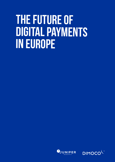# THE FUTURE OF DIGITAL PAYMENTS IN EUROPE

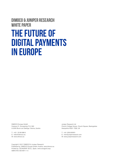### DIMOCO & JUNIPER RESEARCH WHITE PAPER

# THE FUTURE OF DIGITAL PAYMENTS IN EUROPE

DIMOCO Europe GmbH Campus 21, Europaring F15 / 302 A-2345 Brunn am Gebirge / Vienna, Austria

T: +43 1 33 66 888 0 E: hello@dimoco.eu W: www.dimoco.eu

Copyright © 2017 DIMOCO & Juniper Research Published by: DIMOCO Europe GmbH, Austria, www.dimoco.eu Printed by: CEVAGRAF SCCL, Spain, www.cevagraf.coop ISBN 978-3-9519911-1-5

Juniper Research Ltd Church Cottage House, Church Square, Basingstoke Hampshire RG21 7QW, UK

T: +44 1256 830001 E: info@juniperresearch.com W: www.juniperresearch.com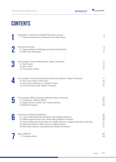# **CONTENTS**

| Introduction: The Future of Digital Payments in Europe<br>1.1 Payment Mechanisms Covered in this White Paper                                                                                                                                                                                                                                                                                     | $\,6$<br>$\overline{7}$          |
|--------------------------------------------------------------------------------------------------------------------------------------------------------------------------------------------------------------------------------------------------------------------------------------------------------------------------------------------------------------------------------------------------|----------------------------------|
| <b>Executive Summary</b><br>2.1 Opportunities & Challenges by Payment Mechanism<br>2.2 Other Key Takeaways                                                                                                                                                                                                                                                                                       | 8<br>$\,8\,$<br>10               |
| The European Carrier Billing Market, Today & Tomorrow<br>3.1 Key Drivers<br>3.2 Key Trends<br>3.3 Transaction Values                                                                                                                                                                                                                                                                             | 12<br>12<br>13<br>14             |
| The European Credit Card Payments eCommerce Market, Today & Tomorrow<br>4.1 Key Trend: Rise in CNP Fraud<br>4.2 Key Trend: Reduction in Payment Friction<br>4.3 Credit & Debit Cards: Market Forecasts                                                                                                                                                                                           | 17<br>18<br>19<br>19             |
| The European SEPA eCommerce Market Today & Tomorrow<br>5.1 Introduction: What is SEPA?<br>5.2 Digital Goods & SEPA: Key Trends & Drivers<br>5.3 Market Prospects                                                                                                                                                                                                                                 | 22<br>22<br>23<br>23             |
| <b>Conclusions &amp; Recommendations</b><br>6.1 Level 2 Merchants Should Deploy Carrier Billing Solutions<br>6.2 MNOs Should Partner with Carrier Billing Platform Providers<br>6.3 Carrier Billing Should be Seen as a Viable Solution for Digital Subscription Services<br>6.4 Merchants Need to Offer an Array of Billing Options<br>6.5 Merchants Need to Understand Local Market Conditions | 26<br>26<br>26<br>27<br>27<br>27 |
| About DIMOCO<br>7.1 Company profile                                                                                                                                                                                                                                                                                                                                                              | 28<br>28                         |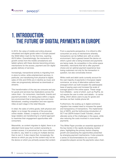#### $\mathbf{Q}_{\text{JUNIPER}}$ DIMOCOL

# 1. Introduction: The Future of Digital Payments in Europe

In 2015, the value of mobile and online physical, virtualised and digital goods sales in Europe passed the €500 billion mark for the first time, reaching €570 billion. Overwhelmingly, the momentum for growth comes from the mobile (smartphone and tablet) sphere with these devices becoming primary mechanisms for the access, payment and (for digital goods) delivery of services.

Increasingly, transactional activity is migrating from in-store to online, while entertainment services, in particular, are transitioning from physical to digital; sales of CDs and DVDs are in decline as music and video are progressively delivered as downloads or streams.

This transformation of the way we consume and pay for goods and services has implications across the value chain – for consumers, merchants, brands and payment providers. It is taking place within a regulatory environment that is becoming more and more liberalizsed, creating competition and new opportunities at each stage in the retail lifecycle.

In retail, the sales of online goods, both physical and digital, is no longer the preserve of the pure play online retailer. Indeed, a majority of mid-sized and large retailers are transitioning to a hybrid approach to maximise their engagement opportunities with consumers.

Meanwhile, as content migrates to digital, there is an attendant trend away from content ownership to content access; it is perceived as far more critical to be able to, say, listen to a song on multiple devices than to own it. It also means that, increasingly, the device on which you pay for the content may not be the device on which you primarily access that content.

From a payments perspective, it is critical to offer consumers an array of mechanisms whereby transactions can be fulfilled and, with an online environment, that is geared toward the device on which a given site is being browsed and payments are being made. As competition in the online space intensifies, merchants that fail to offer payment choice and an optimal payment experience face losing customers not only for the transaction in question, but also conceivably forever.

While credit and debit cards currently account for the vast majority of payments in European digital commerce, an array of alternative options have emerged which can both broaden the addressable base of paying users and increase the scale of average spend in the online space. These range from eWallets – some of which, such as PayPal, do not require the user to enter card details – to carrier billing, which allows users to pay for goods and services via their mobile phone bill.

Furthermore, the scaling up in digital commerce migration has created need to increase the speed and transparency of transactions. The implementation of SEPA, and the forthcoming introduction of SCT Inst (SEPA Instant Credit Transfer), should alleviate some of the challenges in this space, while also reducing the costs involved in cross-border payments.

This White Paper provides an essential appraisal of the key trends in this rapidly developing marketplace, highlighting the primary factors shaping growth and assessing the opportunities presented by emerging payment mechanisms. It also presents a series of recommendations for current and prospective players across the payments value chain.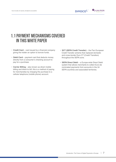

### 1.1 Payment Mechanisms Covered in this White Paper

- **Credit Card**  card issued by a financial company giving the holder an option to borrow funds.
- **Debit Card** payment card that deducts money directly from a consumer's checking account to pay for a purchase.
- **Carrier Billing**  also known as direct mobile billing and direct to bill, this is a method of paying for merchandise by charging the purchase to a cellular telephone (mobile phone) account.
- **SCT (SEPA Credit Transfer)** the Pan European Credit Transfer scheme that replaced domestic and cross-border Euro CT (Credit Transfers) throughout the SEPA zone.
- **SEPA Direct Debit** a Europe-wide Direct Debit system that allows merchants to collect Euro-de nominated payments from accounts in the 34 SEPA countries and associated territories.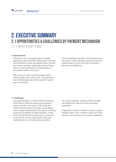# 2. Executive Summary 2.1 Opportunities & Challenges by Payment Mechanism

2.1.1.Credit & Debit Cards

#### **i. Opportunities**

 $\mathbf{0}_{\text{JUNIPER}}$ 

• Consumers are increasingly keen to migrate spending to online channels. Historically, consumers were reluctant to enter card details online, but that fear barrier has been significantly eroded. Hence, there is a real opportunity for card providers to grow spend levels in the future.

DIMOCOL

- With more than two in three European adults owning credit and/or debit cards, card payments are overwhelmingly the default payment mecha nism on websites.
- Card transactional security in eCommerce (card not present, CNP) has been improved since the implementation of the CVN (Card Verification Number) and 3DSecure.

#### **ii. Challenges**

- The implementation of Chip & PIN technology at POS (Point of Sale) has seen fraud migrate to online channels. The scale of CNP (Card Not Present) fraud is likely to increase as fraudsters seek to exploit weaknesses in the system, including acquiring card details via data breaches. Further more, the fact that eCommerce per se continues to account for an ever larger share of the total market makes it a more lucrative proposition.
- For online payments, entering credit and debit card details can often be a time-consuming experience.
- A significant minority of adults in many European markets doesn't own a credit or debit card; while popular, such cards are by no means ubiquitous.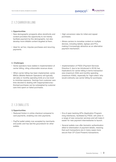

### 2.1.2 Carrier Billing

#### **i. Opportunities**

- New demographic prospects allow storefronts and content providers the opportunity to not merely facilitate payment by this demographic, but also develop more billable content targeted at them.
- Ideal for *ad hoc*, impulse purchases and recurring payments.
- High conversion rates for initial and repeat purchases.
- Allows carriers to monetise content on multiple devices, including tablets, laptops and PCs, making it increasingly attractive as an alternative payment mechanism.

#### **ii. Challenges**

- Some operators have stalled in implementation of carrier billing, citing unfavorable revenue share.
- When carrier billing has been implemented, some MNOs (Mobile Network Operators) will typically set daily or monthly spending limits at a low level to minimise exposure. Savings from customer care time devoted to dealing with inappropriate/unau thorised purchases can be outweighed by customer care time spent on failed purchases.
- Implementation of PSD2 (Payment Services Directive 2, due to be introduced in 2018) has implications for carrier billing in terms transaction size (maximum €50) and monthly spending (maximum €300), especially for 'high-rollers' who would ordinarily use carrier billing for purchases.

### 2.1.3 eWallets

#### **i) Opportunities**

- Reduced friction in online checkout compared to card payments, enabling one click payments.
- PayPal wallet widely now accepted by merchants and public and has laid the groundwork for other wallets.
- Era of open banking APIs (Application Program ming Interfaces), facilitated by PSD2, will usher in a range of new consumer services and will make it easier for new payment intermediaries to launch.
- Several wallets now offer biometric authentication allied to tokenisation of payment details, meaning that such transactions are in many cases more secure than CP (Card Present) transactions.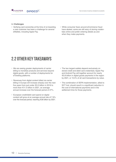

#### **ii. Challenges**

- Verifying card ownership at the time of on-boarding a new customer has been a challenge for several eWallets, including Apple Pay.
- While consumer fears around eCommerce fraud have abated, some are still wary of storing creden tials online and prefer entering details as and when they make payments.

### 2.2 Other Key Takeaways

- We are seeing greater deployments of carrier billing to monetise products and services beyond digital goods, with a number of deployments for eTicketing platforms.
- Revenues from digital content billed via carrier billing in Europe will increase sharply over the next five years from just under €3.5 billion in 2016 to more than €11.5 billion in 2021, an average annual increase over the forecast period of 27%.
- European credit/debit card spend on digital content will grow at an average annual rate of 7.9% over the forecast period, reaching €36 billion by 2021.
- The two largest wallets depend exclusively on stored credit and debit card credentials; Apple Pay and Android Pay will together account for nearly €3.8 billion in digital goods payments in the region by 2021, or 10.5% of all card transactions by value.
- The combination of SEPA implementation, allied to SCT Inst, should result in a significant reduction in the cost of international payments and in the settlement time for those payments.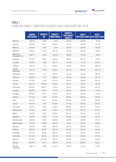

### TABLE 1 European Handset Adoption vs Credit/Debit Card Adoption, 2016

|                         | <b>HANDSET</b><br><b>PENETRATION</b> | <b>HANDSETS</b><br>(M) | <b>HANDSETS</b><br><b>SMARTPHONES</b> | <b>HANDSETS</b><br><b>MASS MARKET</b><br><b>HANDSETS</b> | <b>ADULTS</b><br><b>WITH DEBIT CARDS</b> | <b>ADULTS</b><br><b>WITH CREDIT CARDS</b> |
|-------------------------|--------------------------------------|------------------------|---------------------------------------|----------------------------------------------------------|------------------------------------------|-------------------------------------------|
| Albania                 | 99.0%                                | 3.00                   | 9.3%                                  | 90.7%                                                    | 22.5%                                    | 5.7%                                      |
| Austria                 | 155.3%                               | 13.41                  | 58.9%                                 | 41.1%                                                    | 81.6%                                    | 41.4%                                     |
| <b>Belarus</b>          | 124.4%                               | 11.82                  | 7.2%                                  | 92.8%                                                    | 39.9%                                    | 16.9%                                     |
| Belgium                 | 133.2%                               | 14.37                  | 83.7%                                 | 16.3%                                                    | 95.5%                                    | 43.0%                                     |
| Bosnia &<br>Herzegovina | 89.7%                                | 3.42                   | 43.4%                                 | 56.6%                                                    | 34.4%                                    | 9.5%                                      |
| <b>Bulgaria</b>         | 151.3%                               | 10.81                  | 34.8%                                 | 65.2%                                                    | 63.7%                                    | 13.5%                                     |
| Croatia                 | 112.9%                               | 4.80                   | 28.1%                                 | 71.9%                                                    | 71.1%                                    | 40.3%                                     |
| Cyprus                  | 95.5%                                | 1.12                   | 84.0%                                 | 16.0%                                                    | 50.4%                                    | 26.3%                                     |
| Czech<br>Republic       | 134.1%                               | 14.30                  | 33.9%                                 | 66.1%                                                    | 65.9%                                    | 25.7%                                     |
| Denmark                 | 128.9%                               | 7.17                   | 68.7%                                 | 31.3%                                                    | 97.4%                                    | 36.5%                                     |
| Estonia                 | 136.9%                               | 1.79                   | 35.5%                                 | 64.5%                                                    | 93.8%                                    | 32.1%                                     |
| Finland                 | 177.0%                               | 9.50                   | 81.0%                                 | 19.0%                                                    | 98.6%                                    | 63.1%                                     |
| France                  | 104.7%                               | 69.94                  | 56.9%                                 | 43.1%                                                    | 90.0%                                    | 49.0%                                     |
| Germany                 | 124.9%                               | 100.71                 | 70.5%                                 | 29.5%                                                    | 93.8%                                    | 52.2%                                     |
| Greece                  | 155.9%                               | 16.81                  | 44.7%                                 | 55.3%                                                    | 63.4%                                    | 11.6%                                     |
| Hungary                 | 109.0%                               | 10.77                  | 43.9%                                 | 56.1%                                                    | 59.9%                                    | 11.8%                                     |
| Ireland                 | 112.0%                               | 5.22                   | 67.0%                                 | 33.0%                                                    | 90.3%                                    | 46.0%                                     |
| Italy                   | 124.7%                               | 77.81                  | 69.5%                                 | 30.5%                                                    | 71.0%                                    | 40.2%                                     |
| Latvia                  | 142.4%                               | 2.79                   | 25.6%                                 | 74.4%                                                    | 87.8%                                    | 23.3%                                     |
| Lithuania               | 140.7%                               | 4.08                   | 33.5%                                 | 66.5%                                                    | 66.7%                                    | 10.0%                                     |
| Macedonia               | 114.8%                               | 2.39                   | 8.5%                                  | 91.5%                                                    | 52.7%                                    | 21.2%                                     |
| Malta                   | 143.8%                               | 0.60                   | 61.9%                                 | 38.1%                                                    | 82.4%                                    | 41.8%                                     |
| Moldova                 | 92.5%                                | 3.76                   | 8.1%                                  | 91.9%                                                    | 15.8%                                    | 10.2%                                     |
| Montenegro              | 98.8%                                | 0.62                   | 58.0%                                 | 42.0%                                                    | 43.9%                                    | 16.1%                                     |
| Netherlands             | 91.4%                                | 15.53                  | 89.4%                                 | 10.6%                                                    | 98.7%                                    | 33.6%                                     |
| Norway                  | 99.5%                                | 4.94                   | 69.3%                                 | 30.7%                                                    | 98.6%                                    | 67.2%                                     |
| Poland                  | 129.5%                               | 49.87                  | 48.7%                                 | 51.3%                                                    | 54.3%                                    | 16.8%                                     |
| Portugal                | 137.7%                               | 14.88                  | 60.3%                                 | 39.7%                                                    | 66.7%                                    | 28.5%                                     |
| Romania                 | 113.3%                               | 24.53                  | 32.1%                                 | 67.9%                                                    | 50.4%                                    | 11.6%                                     |
| Russia                  | 161.6%                               | 227.98                 | 30.0%                                 | 70.0%                                                    | 47.0%                                    | 25.2%                                     |
| Serbia                  | 122.9%                               | 8.77                   | 38.2%                                 | 61.8%                                                    | 63.6%                                    | 15.2%                                     |
| Slovak<br>Republic      | 128.1%                               | 6.98                   | 42.4%                                 | 57.6%                                                    | 71.2%                                    | 17.0%                                     |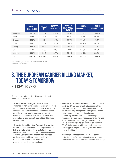|              | <b>HANDSET</b><br><b>PENETRATION</b> | <b>HANDSETS</b><br>(M) | <b>HANDSETS</b><br><b>SMARTPHONES</b> | <b>HANDSETS</b><br><b>MASS MARKET</b><br><b>HANDSETS</b> | <b>ADULTS</b><br><b>WITH DEBIT CARDS</b> | <b>ADULTS</b><br><b>WITH CREDIT CARDS</b> |
|--------------|--------------------------------------|------------------------|---------------------------------------|----------------------------------------------------------|------------------------------------------|-------------------------------------------|
| Slovenia     | 105.7%                               | 2.19                   | 37.1%                                 | 62.9%                                                    | 91.3%                                    | 35.2%                                     |
| Spain        | 100.5%                               | 48.16                  | 86.3%                                 | 13.7%                                                    | 86.7%                                    | 59.8%                                     |
| Sweden       | 139.2%                               | 13.64                  | 88.4%                                 | 11.6%                                                    | 98.0%                                    | 45.4%                                     |
| Switzerland  | 150.0%                               | 12.07                  | 79.0%                                 | 21.0%                                                    | 84.1%                                    | 54.0%                                     |
| Turkey       | 82.4%                                | 65.41                  | 46.6%                                 | 53.4%                                                    | 43.3%                                    | 32.8%                                     |
| UK           | 115.9%                               | 74.86                  | 78.1%                                 | 21.9%                                                    | 91.8%                                    | 59.5%                                     |
| Ukraine      | 133.2%                               | 59.16                  | 58.9%                                 | 41.1%                                                    | 42.1%                                    | 30.5%                                     |
| <b>Total</b> | 124.2%                               | 1.019.96               | 54.1%                                 | 45.9%                                                    | 68.5%                                    | 36.9%                                     |

Note: adults defined as aged 15 and over as per World Bank Source: Juniper Research

## 3. The European Carrier Billing Market, Today & Tomorrow 3.1 Key Drivers

The key drivers for carrier billing can be broadly summarised as follows:

- **Monetise New Demographics** There is evidence of increasing smartphone adoption levels among teenage demographics. As a result, more content is being developed to cater to that demo graphic, who are legally excluded from card ownership in nearly all markets. As a result, the acquisition of paid content via credit card billing is beyond them.
- **Opportunity to Monetise Content Beyond the Mobile –** One of the clear advantages of carrier billing is that it enables merchants to offer an additional billing option across a range of connected devices. Carrier billing's capacity to bill across devices, conceivably any connected device, means that it stands up well in comparison to mechanisms such as payment cards.
- **Optimal for Impulse Purchases** The beauty of the DCB (Direct Carrier Billing) process is that, following the decision to download content, it can be facilitated by a simple one click (trans-) action. In this regard it is ideal for impulse purchases, particularly by individuals who have not pre registered a credit card. Indeed, carrier billing was a key revenue driver in the game Pokémon Go, where consumers who ran short of 'ammunition' (Poké Balls) could quickly and easily recharge their supplies by purchasing in-game currency via one click billing.
- **Subscription Opportunities –** While carrier billing has thus far been primarily used to mone tise content on a pay-per-download basis or for in app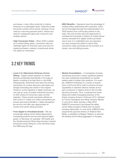

 purchases, it also offers potential to deliver revenues on a subscription basis. Under this model, the phone number will be stored, allowing it to be used as a recurring payment option, without any need for subsequent approvals, during the sub scription period.

- **High Conversion Rates** When DCB is added as a content billing option, conversion rates are markedly higher for first-time users and even for repeat purchasers, making it a particularly attrac tive option for merchants.
- **MNO Benefits** Operators have the advantage of existing billing relationship with customers, which can be leveraged through the implementation of a DCB solution from a third party partner in two ways. Not only do they have the opportunity to monetise the hundreds of millions of mobile device owners excluded from digital content purchase due to lack of a credit/debit card, but operators can also increase the extent to which other consumers make purchases by the provision of a simple, one-click billing process.

### 3.2 Key Trends

• **Level 2 & 3 Merchants Embrace Carrier Billing –** Digital content adoption on mobile devices accelerated dramatically in the wake of Apple's unveiling of its App Store in mid-2008. Subsequently, storefronts have been the primary mechanism for content discovery with Apple and Google dominating the market in this respect. However, as the migration to digital continues, we now see an array of smaller merchants focusing on D2C (Direct to Consumer) sales via their websites. These include merchants defined as both Level 2 (1 million to 6 million transactions per annum) and Level 3 (20,000 to 1 million transactions per annum) and offer new opportunities for carriers and carrier billing providers.

- **From Digital to Virtualised Goods –** We are increasingly seeing carrier billing deployments monetising products and services beyond digital goods. In Germany, for example, TAFmobile and the Verkehrsverbund Rhein-Sieg transport network introduced carrier billing for a four-trip ticket using the SWB easy.GO app.
- **Market Consolidation** A marketplace formerly comprising more than a dozen significant players has seen substantial consolidation as market leaders seek to bolster their positions. For exam ple, DIMOCO embarked on a series of acquisi tions in 2015 and 2016, both to enhance its local capabilities in selected national markets and to gain a presence in regions where it did not offer services previously. Thus, it acquired the carrier billing and mobile messaging business of the Greek company Amaze in February 2015, followed by French messaging and billing company Mpulse in June 2015. More recently, in May 2016, DIMOCO announced it purchased the Italian carrier billing company Onebip from its parent company Neomobile. In June 2016, DIMOCO then acquired the payment division of Telekom New Media, a subsidiary of Magyar Telekom, to become the leading carrier billing aggregator in Hungary.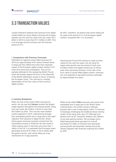

### 3.3 Transaction Values

Juniper Research believes that revenues from digital content billed via carrier billing in Europe will increase sharply over the next five years from just under €3.5 billion in 2016 to more than €11.5 billion in 2021.This is an average annual increase over the forecast period of 27%.

By 2021, therefore, we believe that carrier billing will be used to bill around 21% of all European digital content, compared with 11% at present.

#### **i. Comparison with Previous Forecasts**

Estimates for regional carrier billed revenues for 2016 are approximately 9.9% below forecast levels. In large part this reflects the lower than expected values of the European digital content market (7.2% lower than previously anticipated). This can be partially attributed to the weakening British Pound, which fell sharply against the Euro in the aftermath of the British referendum results in favour of leaving the European Union. The vote led to a sharply depreciation of the Euro value of that country's digital content.

Assuming the Pound will continue to trade at lower values for the next five years, the net result for region-wide growth over the period for both carrier-billed content and digital content per se will be lower than previously forecast. In the case of the Euro value of carrier-billed digital content, revenues are now expected to lag below previous estimates by approximately two years.

#### **ii. Industry Breakdown**

When we look at the carrier billed revenues by sector, we can see that **Games** remains the largest single segment throughout the forecast period, rising from just under €2.0 billion in 2016 to more than €5.6 billion by 2021. This was the most resilient content segment in 2016, experiencing stronger than anticipated growth due in large part to the rapid migration from physical to digital format. Smartphone game revenues received a boost from the remarkable success of Pokémon Go with nearly 2 million paying users in Germany and more than 1 million in the UK. It is estimated that European users generated around €75 million in the 6 weeks after the game's launch, with carrier billing as a key mechanism for in-app payment.

While carrier-billed **Video** revenues were lower than anticipated due in large part to the 'Brexit' factor outlined above, the market remains relatively buoyant with a raft of subscription online TV services increasingly challenging the traditional linear viewing model. At the same time, telco TV offerings from players such as BT, Deutsche Telekom and Telefonica are also gaining traction. We envisage carrerbilled being particularly prevalent for one-off purchases for Video on Demand and download; annual growth will marginally outstrip that of the Games segment with revenues reaching €2.2 billion by 2021.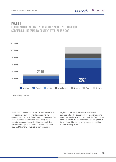### Figure 1 European Digital Content Revenues Monetised through Carrier Billing (€m), By Content Type, 2016 & 2021



Purchases of **Music** via carrier billing continue at a comparatively low level thanks, in part, to the ongoing prevalence of iTunes as a purchase mechanism. However, both Deezer and Spotify have recently extended the availability of carrier billing options in Europe (the former to Ireland, the latter to Italy and Germany), illustrating how consumer

migration from music download to streamed services offers the opportunity for greater ongoing revenues. We believe that, although the Euro values of UK revenues will be depressed, overall growth in the region will be strong, with revenues reaching €445 million by 2021.

DIMOCO<sup>L</sup>

 $\mathbf{Q}$ JUNIPER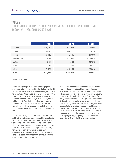#### table 2

European Digital Content Revenues Monetised through Carrier Billing, By Content Type, 2016 & 2021 (€m)

|              | 2016    | 2021     | <b>GROWTH</b> |
|--------------|---------|----------|---------------|
| Games        | € 2,012 | € 5,827  | 189.6%        |
| Video        | € 681   | € 2,208  | 224.2%        |
| <b>Music</b> | € 112   | € 445    | 297.3%        |
| ePublishing  | € 99    | € 1,191  | 1,103.0%      |
| Dating       | € 23    | € 80     | 247.8%        |
| Adult        | € 132   | € 309    | 134.1%        |
| Other        | € 404   | € 1,454  | 259.9%        |
| <b>Total</b> | € 3,463 | € 11,513 | 232.5%        |

Source: Juniper Research

Carrier billing usage in the **ePublishing** space continues to be constrained by the limited availability via Amazon along with a slowdown in digital publishing migration. While eBooks now account for 17% of sales in the UK, the share is markedly lower in countries such as Germany (4.3%), Spain (3.0%) and France (2.9%). In the medium term, however, as Amazon's dominance of the eBook space is gradually eroded, we foresee carrier billing revenues rising sharply, approaching €1.2 billion annually by 2021.

Despite overall digital content revenues from **Adult**  and **Dating** plateauing as a result of lower sales in the UK, Adult revenues from carrier billing in 2016 were in line with previous forecasts. Dating carrier billed revenues exceeded forecasts by around 10%. In the future, Adult content will provide a steadily increasing stream of revenue across Europe, reaching €309 million by 2021; Dating, although niche, is expected to outperform previous expectations and reach €80 million by 2021.

We should point out that these revenues do not include those from Gambling, which Juniper Research defines as a service rather than content. This is currently a small but growing area. Several companies, including Mansion, PokerStars, Probability, Boylesports and Gaming Realms now permit UK customers to make lower value deposits using carrier billing. Even though carrier billing currently accounts for a negligible proportion of European online casino wager of just under €112 billion in 2016 (rising to €165 billion by 2021), it is likely to increase in popularity among casual players of slot-style gaming, eclipsing €100 million in annual deposits by the end of the forecast period.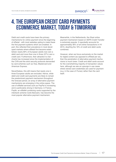$\mathbf{V}_{\text{JUNIPER}}$ 

## 4. The European Credit Card Payments eCommerce Market, Today & Tomorrow

Debit and credit cards have been the primary mechanisms for online payment since the beginning of eRetail - with most websites opting to make these the first payment systems which are enabled. In part, this reflected their prevalence in most developed markets where eRetail first became established; nearly 69% of European adults now own a debit card and more than one in three (37%) own a credit card. Furthermore, their attraction to merchants has increased since the implementation of the CVN and the strict security protocols demanded by card schemes such as Visa, Mastercard and American Express.

Nevertheless, this still means that nearly one in three European adults are excluded. Hence, while debit and credit card payments are likely to remain the predominant payment mechanism throughout the forecast period, an array of alternative payment mechanisms are emerging in the online space. The use of eWallet services such as PayPal is increasing and is particularly strong in Germany; in France, Paylib, an eWallet containing cards supported by the interbank scheme Carte Bancaire, has become the most popular alternative payment mechanism.

Meanwhile, in the Netherlands, the iDeal online payment mechanism based on SEPA Credit Transfer is extremely popular. It reportedly accounts for approximately 56% of all online transactions in H1 2015, dwarfing the 18% of credit and debit cards combined.

However, when we focus exclusively on the market for digital content (as opposed to eRetail per se), then the penetration of alternative payment mechanisms is much lower. Credit and debit cards account for the overwhelming majority of transaction values here, although we see an upsurge in use cases where stored card credentials are used for payment (e.g. in the case of iTunes) rather than the card itself.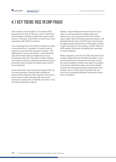### 4.1 Key Trend: Rise in CNP Fraud

One corollary of the transition in European POS transactions to Chip & PIN was a rise in CNP fraud with fraudsters seeking to attack less secure transactions. In Europe, around 60% of card fraud is now associated with CNP transactions.

The increasing size of the eRetail market had made it more attractive to fraudsters. A recent study by Ingenico found that three European markets – the Netherlands, France and Russia – had particularly high online fraud rates (as measured by fraud chargeback rate) with merchants in these markets only recently starting to develop expertise and fraud prevention tools to tackle this illegal online activity more effectively.

At the same time, fraud trends are largely driven by the vast quantities of identity data available to cybercriminals following data breaches. 2015 was a record year for data breaches with well-known consumer brands such as TalkTalk and Tesco in the UK being subjected to attacks.

Indeed, Juniper Research believes that the fraud rates on card payments for digital goods and services are, as a proportion of the total market value, higher than for physical goods purchases. We estimate that the value of CNP fraud in the European digital goods market will be €150 million in 2016, a figure we expect to rise sharply to €304 million by 2020 despite merchants increasing their spending on fraud mitigation.

While compliance with the PCI DSS (Payment Card Industry Digital Security Standard) provides a more secure transaction environment and helps reduce the overall quantity of stolen card data in circulation, it should be noted that it does not prevent identity thieves from using data already compromised from another source. It also does not protect the merchant from accepting potentially fraudulent transactions at checkout.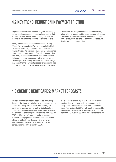### 4.2 Key Trend: Reduction in Payment Friction

Payment mechanisms, such as PayPal, have enjoyed tremendous success in no small part due to their ability to reduce friction when placing an order as they have obviated the need to enter card details.

Thus, Juniper believes that the entry of 'OS-Pay' (Apple Pay and Android Pay) to the market is likely to play an extremely important role in merchants' future strategy. As biometric authentication becomes more common as a means of avoiding password or PIN entry, purchase friction can be further reduced. In the present app landscape, with average annual revenue per user falling, it is clear that any strategy that smooths the payment process for additional app content or other goods will be desirable to the seller.

Meanwhile, the integration of an OS-Pay service, either into the app or mobile website, means that the consumer is presented with an increasing choice in terms of payment options as card or bank account details are no longer required.

### 4.3 Credit & Debit Cards: Market Forecasts

We can see that credit and debit cards (including those cards stored in eWallets, which is essentially a convenient proxy for the cards themselves) will continue to account for the bulk of digital content purchases by value over the next five years. However, the proportion of total spend will decline from 76% in 2016 to 66% by 2021 due primarily to pressures from non-card payments from eWallets and carrier billing. Credit/debit card spend will grow at an average annual rate of 7.9% over the forecast period, reaching €36 billion by 2021.

It is also worth observing that in Europe we envisage that the two largest wallets dependent exclusively on stored credit and debit card credentials, Apple Pay and Android Pay, will together account for nearly €3.8 billion in digital goods payments in the region by 2021, or 10.5% of all card transactions by value.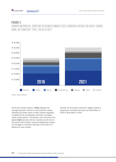

#### **FIGURE 2**

European Digital Content Revenues Monetised through Credit or Debit Cards (€m), By Content Type, 2016 & 2021



Of the key content sectors, **Video** displays the strongest growth in terms of card payment values, reflecting the wider trend of video content migrating to digital and its monetisation primarily via (higher value) subscriptions. Conversely, card revenues from digital **Adult** services will be in decline by the end of the period with industry revenues plateauing as players struggle to monetise offerings in the face of a plethora of free content.

Overall, the European market for digital content is expected to increase from just over €32 billion in 2016 to €54 billion in 2021.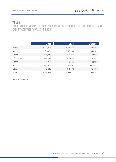

### TABLE 3

European Digital Content Revenues Monetised through Credit or Debit Cards (€m), By Content Type, 2016 & 2021

|              | 2016     | 2021     | <b>GROWTH</b> |
|--------------|----------|----------|---------------|
| Games        | € 11,823 | € 15,122 | 27.9%         |
| Video        | € 6,491  | € 13,266 | 104.4%        |
| <b>Music</b> | € 1,348  | € 1,482  | 9.9%          |
| ePublishing  | € 2,142  | € 2,836  | 32.4%         |
| Dating       | € 727    | € 772    | 6.2%          |
| Adult        | € 1,165  | € 974    | $-16.4%$      |
| Other        | €919     | € 1,582  | 72.1%         |
| <b>Total</b> | € 24,616 | € 36,033 | 46.4%         |

Source: Juniper Research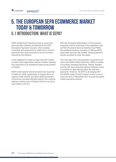### 5. The European SEPA eCommerce Market Today & Tomorrow 5.1 Introduction: What is SEPA?

SEPA (Single Euro Payments Area) is a pan-European payment initiative coordinated by the EPC (European Payments Council), which enables merchants and enterprises to collect Euro currency payments from bank accounts in the 34 countries covered by the initiative.

It was designed to create a single domestic market in place of the fragmented national markets, allowing Euro payments to be transferred freely across borders in Europe.

SEPA credit transfer and direct debit were launched in 2008 and 2009, respectively. In August 2014, all national credit transfer and direct debit procedures in Eurozone countries officially expired; this could be deferred until the end of October 2016 for non-Eurozone states in the EU.

With the increasing liberalisation of the European payments market, enshrined in key legislation such as PSD (Payments Service Directive) and PSD2, the traditional banking monopoly of offering SEPA direct debit services has eroded, allowing payment service providers to enter the space.

The next step in the harmonisation of payments will come with SEPA Instant Payments. While a number of countries (including Denmark, Poland, Sweden and the UK) have launched national schemes, there is currently no international option for real-time payments. However, the EPC is developing SCT Inst (SEPA Instant Credit Transfer), which is due to come into force in November 2017 as a pan-European instant payments scheme.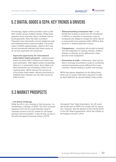### 5.2 Digital Goods & SEPA: Key Trends & Drivers

Increasingly, digital content providers seek to offer their content across multiple markets. While these operators have long been able to facilitate international payments, there has been a problem: Payments have historically incurred additional costs and settlement times could be lengthy. The combination of SEPA implementation, allied to SCT Inst, should dramatically alleviate both these issues as far as Euro payments are concerned.

- **Improved opportunity for international subscription-based payments –** setting up pay ments via direct debit is efficient and allows pay ment automation. With digital content increasingly offered on a subscription basis, direct debit is an ideal mechanism for monetising content on an ongoing basis. SEPA reduces the barriers to cross-border direct debits, allowing merchants to establish them between any two bank accounts within the EU.
- **Reduced banking transaction fees** a key benefit that is likely to result from the introduction of SEPA is a reduction in transaction costs as companies are obliged to charge the same rate for a cross‐border Euro payment within SEPA as they would for a national payment in Euros.
- **Transparency –** merchants will be able to benefit from the integration of clearing markets, whether directly or indirectly, as the differences in fees become more transparent.
- **Economies of scale –** furthermore, they may be able to leverage economies of scale by combining payment processing across different Euro area countries, thereby leading to further cost savings.

SEPA also places obligations on the billing entity, which can no longer insist that a payment is made by direct debit from an account based in their country.

### 5.3 Market Prospects

#### **i. The Brexit Challenge**

While the UK is not a member of the Eurozone, it is nonetheless a member of SEPA. The UK's imminent departure from the EU could therefore result in restricted access to the EU market for UK-based payment service providers. It may be that, as part of the EEA (European Economic Area) or EFTA.

(European Free Trade Association), the UK could still remain part of SEPA and comply with its regulation. However, that will depend on the precise terms of the UK's Brexit agreements, which are unlikely to be finalised until 2017-2018.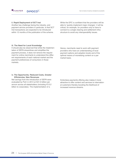#### DIMOCOL **O**JUNIPER

#### **ii. Rapid Deployment of SCT Inst**

Another key challenge facing the industry, and payment service providers in particular, is that SCT Inst transactions are expected to be introduced within 12 months of the publication of the scheme.

While the EPC is confident that the providers will be able to 'quickly implement major changes', it will be critical, for example, for providers only to have to connect to a single clearing and settlement infrastructure to avoid any interoperability issues.

#### **iii. The Need for Local Knowledge**

It should also be observed that while the implementation of SEPA streamlines and simplifies the payment process, it does not remove the requirement for online merchants to understand the different requirements of each national market and the payment preferences of consumers in those markets.

Hence, merchants need to work with payment providers who have an understanding of local payment options and adoption levels and of the optimal means of monetising content on a per market basis.

#### **iv. The Opportunity: Reduced Costs, Greater Efficiencies, New Revenues**

Net savings from the introduction of SEPA were evaluated by PwC in 2014 at €21.9 billion per annum across all stakeholders (including €13.2 billion to corporates). The implementation of a

frictionless payments offering also makes it more attractive to offer content and services to international customers thereby boosting the likelihood of increased revenue streams.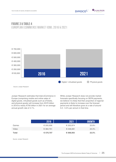

#### FIGURE 3 & TABLE 4 European eCommerce Market (€m), 2016 & 2021



Source: Juniper Research

Juniper Research estimates that total eCommerce in Europe (comprising mobile and online sales of digital goods, virtualised goods such as eTickets, and physical goods) will increase from €570 billion in 2016 to nearly €700 billion in 2021 for an average annual growth rate of 4.1%.

While Juniper Research does not provide market forecasts specifically focusing on SEPA payments, we believe it is likely that their proportion of regional payments is likely to increase over the forecast period and will therefore grow at a rate of around 5.0 - 5.5% per annum in that time.

|              | 2016      | 2021      | <b>GROWTH</b> |
|--------------|-----------|-----------|---------------|
| Games        | € 205,956 | € 252,874 | 22.8%         |
| Video        | € 364,751 | €446,081  | 22.3%         |
| <b>Total</b> | € 570,707 | € 698,955 | 22.5%         |

Source: Juniper Research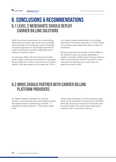#### DIMOCOL  $\mathbf{0}$ JUNIPER

### 6. Conclusions & Recommendations 6.1 Level 2 Merchants Should Deploy Carrier Billing Solutions

While the primary beneficiaries from carrier billing deployment have been app stores such as Google Play and larger OTT companies such as Facebook, we would argue that it is increasingly important for Level 2 merchants to consider integrating carrier billing as a payment option.

As consumer affinity with the online environment grows, digital content purchase activity is expanding beyond what was in effect a second wave of 'walled gardens' (the app stores) into the wider web. This in turn creates greater opportunities for the smaller merchants to monetise consumers on a D2C (Direct to Consumer) basis rather than reply on sales via storefronts.

We would argue that the drivers of carrier billing in the storefront space are equally applicable to smaller merchants. Indeed, given the lower levels of traffic such merchants receive, the uplift in conversion rates that typically occur could result in a significant revenue uplift.

### 6.2 MNOs Should Partner with Carrier Billing Platform Providers

For MNOs seeking to develop new revenue streams, we would argue that carrier billing provides the optimal means of maintaining a foothold  $-$  a potentially lucrative foothold – in the content value chain.

Carrier billing leverages an existing operator asset, which can be deployed at minimal cost to the MNO. While the returns per transaction will be lower than for portal content, this is more than offset by the dramatic uplift in transaction volumes.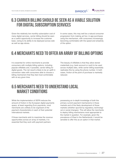### 6.3 Carrier Billing Should be Seen as a Viable Solution for Digital Subscription Services

Given the relatively low monthly subscription cost of many digital services, carrier billing should be seen as a useful opportunity to increase the customer base, owing to its ability to be deployed across web as well as app stores.

In some cases, this may well be a natural consumer progression from making *ad hoc*, in-app purchases using the mechanism, with consumers increasingly becoming comfortable with the speed and simplicity of the option.

DIMOCO<sup>L</sup>

 $\mathbf{V}_{\text{JUNIPER}}$ 

### 6.4 Merchants Need to Offer an Array of Billing Options

It is essential for online merchants to provide consumers with multiple billing options, including popular eWallets and, if possible, carrier billing for digital goods. The net result is likely to be an uplift in conversion rates with consumers able to choose a billing mechanism that they feel most comfortable with at any given time.

The beauty of eWallets is that they allow stored credentials (e.g. bank account or card) to be used across multiple sites, while carrier billing essentially replicates this by using the phone number. In both cases, friction at the point of purchase is markedly reduced.

### 6.5 Merchants Need to Understand Local Market Conditions

While the implementation of SEPA reduces the amount of friction in the European digital payments space, at least regarding Euro payments, most merchants are unlikely to be cognisant of the payment characteristics in each of their potential international markets.

If those merchants wish to maximise the revenue opportunities across an array of markets, it is essential that they work with payment partners

possessing an in-depth knowledge of both the primary current payment mechanisms in those markets and of the likely development of those markets (whether spurred by regulatory, technological or social changes). This will allow the merchants to deploy billing mechanisms most appropriate to the market in question. For example, given the prevalence of iDeal in the Netherlands, it would be sensible to offer this as an option in that market.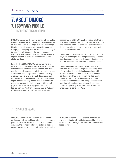#### **O**JUNIPER DIMOCOL

# 7. About DIMOCO 7.1 Company Profile

7.1.1 Corporate Background

DIMOCO has paved the way in carrier billing, mobile ticketing, messaging and other payment services as an industry leader at the edge of mobile technology. Headquartered in Austria and with offices across Europe, the company with the FinTech philosophy at its core recently established a further company which acts as a payment service provider, leveraging this position to stimulate the creation of new digital services.

Launched in 2000, DIMOCO Carrier Billing is a payment institute enabling almost 1 billion European subscribers to purchase goods and services from merchants and aggregators with their mobile devices. Subscribers are charged via the operators' billing system, which is available on all distribution, communication and consumption channels, serving any digital content industry needs. The European-wide regulated payment institute for carrier billing and payment services holds a payment service act license from the Austrian Financial Market Authority (FMA) since January 2016, as its license was

passported to all 28 EU member states. DIMOCO is trusted by local and global mobile network operators and performs hundreds of millions of mobile transactions for merchants, aggregators, corporates and public transport services.

DIMOCO Payment Services, launched in 2016, is a payment service provider that processes payments for eCommerce merchants with cards, online bank transfers, SEPA direct debit and other payment methods.

DIMOCO Carrier Billing and DIMOCO Payment Services are available throughout Europe by means of key partnerships and direct connections with Mobile Network Operators and existing merchant portfolios. DIMOCO is a privately held company renowned for its depth of knowledge and wide expertise in these areas. The company focuses on long-term strategic co-operations with business customers primarily in the European market, with undergoing expansion in Asia.

### 7.1.2 Product Range

DIMOCO Carrier Billing has products for mobile devices as well as additional offerings, such as web platform solutions. In addition to DIMOCO's one-off services, the company offers the option of adding periodic payments to enhance client business models. DIMOCO Payment Services offers a combination of payment methods, tailored industry-specific solutions, transaction risk management tools and flexible value added services.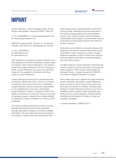# **IMPRINT**

Juniper Research, Church Cottage House, Church Square, Basingstoke, Hampshire RG21 7QW, UK

T: +44 1256 830001; E: info@juniperresearch.com; W: www.juniperresearch.com

DIMOCO Europe GmbH, Campus 21, Europaring F15/302, 2345 Brunn am Gebirge/Vienna, Austria

T: +43 1 33 66 888-0 E: hello@dimoco.eu W: www.dimoco.eu

This material is proprietary to Juniper Research and the copyright and all other intellectual property rights of whatever nature therein belongs to and remains vested with Juniper Research. For the avoidance of doubt, Juniper Research may use all or part of the material to be supplied for contracts with other clients of Juniper Research.

Juniper Research endeavours to provide accurate information. Whilst information, advice or comment is believed to be correct at the time of publication, Juniper Research cannot accept any responsibility for its completeness or accuracy. Accordingly, Juniper Research, author or distributor shall not be liable to any person or entity with respect to any loss or damage caused or alleged to be caused directly or indirectly by what is contained in or left out of this publication.

This report contains projections and other forwardlooking statements that have been developed through assumptions based on currently available information. All such statements and assumptions are subject to certain risks and uncertainties that

could cause actual market parameters and performance to differ materially from those described in the forward-looking statements in the published reports. Such factors include, without limitation, unanticipated technological, environmental, political, social and economic factors beyond the control of Juniper Research.

DIMOCO<sup>L'</sup>

 $\mathbf{V}_{\text{JUNIPER}}$ 

Forecasting is by definition a dynamic process that depends on the factors outlined above and can be vulnerable to major changes as a result. Juniper Research operates a policy of continuous improvement and reserves the right to revise forecasts at any time without notice.

All rights reserved: Juniper Research welcomes the use of its data for internal information and communication purposes. When used it must include the following "Source: Juniper Research & DIMOCO: The Future of Digital Payments In Europe".

Prior written approval is required for large portions of Juniper Research documents. Juniper Research does not allow its name or logo to be used in the promotion of products or services. External reproduction of Juniper Research content in any form is forbidden unless express written permission has been given by Juniper Research. Copying and/or modifying the information in whole or in part are expressly prohibited.

© Juniper Research, DIMOCO 2017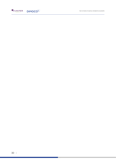